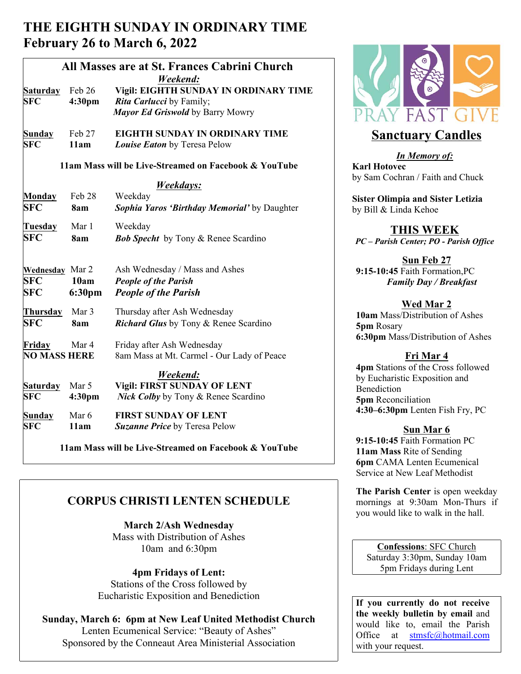# **THE EIGHTH SUNDAY IN ORDINARY TIME February 26 to March 6, 2022**

| All Masses are at St. Frances Cabrini Church |                                                       |                                              |                           |
|----------------------------------------------|-------------------------------------------------------|----------------------------------------------|---------------------------|
|                                              |                                                       | Weekend:                                     |                           |
| <b>Saturday</b>                              | Feb 26                                                | Vigil: EIGHTH SUNDAY IN ORDINARY TIME        |                           |
| <b>SFC</b>                                   | 4:30 <sub>pm</sub>                                    | Rita Carlucci by Family;                     |                           |
|                                              |                                                       | Mayor Ed Griswold by Barry Mowry             |                           |
| <b>Sunday</b>                                | Feb 27                                                | <b>EIGHTH SUNDAY IN ORDINARY TIME</b>        | <b>Sanctuary</b>          |
| <b>SFC</b>                                   | 11am                                                  | Louise Eaton by Teresa Pelow                 |                           |
|                                              |                                                       |                                              | <b>In Memo</b>            |
|                                              | 11am Mass will be Live-Streamed on Facebook & YouTube | <b>Karl Hotovec</b>                          |                           |
|                                              |                                                       | Weekdays:                                    | by Sam Cochran / Fa       |
| Monday                                       | Feb 28                                                | Weekday                                      | <b>Sister Olimpia and</b> |
| <b>SFC</b>                                   | 8am                                                   | Sophia Yaros 'Birthday Memorial' by Daughter | by Bill & Linda Keho      |
|                                              |                                                       |                                              |                           |
| <b>Tuesday</b>                               | Mar 1                                                 | Weekday                                      | <b>THIS W</b>             |
| <b>SFC</b>                                   | 8am                                                   | <b>Bob Specht</b> by Tony & Renee Scardino   | PC - Parish Center; 1     |
|                                              |                                                       |                                              |                           |
|                                              |                                                       |                                              | Sun Fe                    |
| <b>Wednesday</b> Mar 2                       |                                                       | Ash Wednesday / Mass and Ashes               | 9:15-10:45 Faith Fo       |
| <b>SFC</b>                                   | 10am                                                  | <b>People of the Parish</b>                  | <b>Family Day</b>         |
| <b>SFC</b>                                   | 6:30pm                                                | <b>People of the Parish</b>                  |                           |
|                                              |                                                       |                                              | Wed N                     |
| Thursday                                     | Mar 3                                                 | Thursday after Ash Wednesday                 | 10am Mass/Distribu        |
| <b>SFC</b>                                   | 8am                                                   | <b>Richard Glus</b> by Tony & Renee Scardino | 5pm Rosary                |
|                                              |                                                       |                                              | 6:30pm Mass/Distri        |
| Friday                                       | Mar 4                                                 | Friday after Ash Wednesday                   |                           |
| <b>NO MASS HERE</b>                          |                                                       | 8am Mass at Mt. Carmel - Our Lady of Peace   | Fri M                     |
|                                              |                                                       |                                              | 4pm Stations of the       |
|                                              |                                                       | Weekend:                                     | by Eucharistic Expo       |
| <b>Saturday</b>                              | Mar 5                                                 | <b>Vigil: FIRST SUNDAY OF LENT</b>           | Benediction               |
| <b>SFC</b>                                   | 4:30 <sub>pm</sub>                                    | <b>Nick Colby</b> by Tony & Renee Scardino   | <b>5pm</b> Reconciliation |
| <b>Sunday</b>                                | Mar 6                                                 | <b>FIRST SUNDAY OF LENT</b>                  | 4:30-6:30pm Lente         |
| <b>SFC</b>                                   | 11am                                                  | <b>Suzanne Price by Teresa Pelow</b>         |                           |
|                                              |                                                       |                                              | <b>Sun M</b>              |
|                                              |                                                       |                                              | $0.15$ 10.45 Foith Form   |

 **11am Mass will be Live-Streamed on Facebook & YouTube**

# **CORPUS CHRISTI LENTEN SCHEDULE**

**March 2/Ash Wednesday** Mass with Distribution of Ashes 10am and 6:30pm

**4pm Fridays of Lent:** Stations of the Cross followed by Eucharistic Exposition and Benediction

#### **Sunday, March 6: 6pm at New Leaf United Methodist Church** Lenten Ecumenical Service: "Beauty of Ashes" Sponsored by the Conneaut Area Ministerial Association



# **Sanctuary Candles**

*In Memory of:* **Karl Hotovec**  by Sam Cochran / Faith and Chuck

**Sister Olimpia and Sister Letizia** by Bill & Linda Kehoe

## **THIS WEEK**

*PC – Parish Center; PO - Parish Office*

**Sun Feb 27 9:15-10:45** Faith Formation,PC *Family Day / Breakfast* 

### **Wed Mar 2**

**10am** Mass/Distribution of Ashes **5pm** Rosary **6:30pm** Mass/Distribution of Ashes

## **Fri Mar 4**

**4pm** Stations of the Cross followed by Eucharistic Exposition and Benediction **5pm** Reconciliation **4:30–6:30pm** Lenten Fish Fry, PC

## **Sun Mar 6**

**9:15-10:45** Faith Formation PC **11am Mass** Rite of Sending **6pm** CAMA Lenten Ecumenical Service at New Leaf Methodist

**The Parish Center** is open weekday mornings at 9:30am Mon-Thurs if you would like to walk in the hall.

**Confessions**: SFC Church Saturday 3:30pm, Sunday 10am 5pm Fridays during Lent

**If you currently do not receive the weekly bulletin by email** and would like to, email the Parish Office at stmsfc@hotmail.com with your request.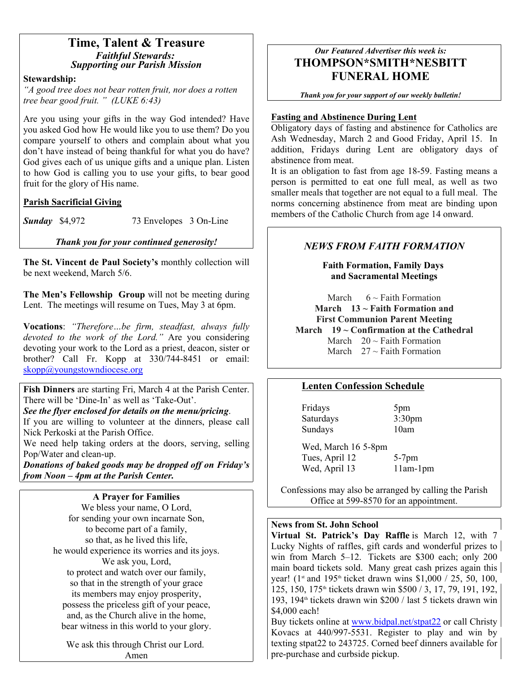# **Time, Talent & Treasure** *Faithful Stewards: Supporting our Parish Mission*

#### **Stewardship:**

*"A good tree does not bear rotten fruit, nor does a rotten tree bear good fruit. " (LUKE 6:43)*

Are you using your gifts in the way God intended? Have you asked God how He would like you to use them? Do you compare yourself to others and complain about what you don't have instead of being thankful for what you do have? God gives each of us unique gifts and a unique plan. Listen to how God is calling you to use your gifts, to bear good fruit for the glory of His name.

#### **Parish Sacrificial Giving**

**Sunday** \$4,972 73 Envelopes 3 On-Line

#### *Thank you for your continued generosity!*

**The St. Vincent de Paul Society's** monthly collection will be next weekend, March 5/6.

**The Men's Fellowship Group** will not be meeting during Lent. The meetings will resume on Tues, May 3 at 6pm.

**Vocations**: *"Therefore…be firm, steadfast, always fully devoted to the work of the Lord."* Are you considering devoting your work to the Lord as a priest, deacon, sister or brother? Call Fr. Kopp at 330/744-8451 or email: skopp@youngstowndiocese.org

**Fish Dinners** are starting Fri, March 4 at the Parish Center. There will be 'Dine-In' as well as 'Take-Out'.

# *See the flyer enclosed for details on the menu/pricing.*<br>If you are willing to volunteer at the dinners, please call

Nick Perkoski at the Parish Office.

We need help taking orders at the doors, serving, selling Pop/Water and clean-up.

*Donations of baked goods may be dropped off on Friday's from Noon – 4pm at the Parish Center.* 

#### **A Prayer for Families**

We bless your name, O Lord, for sending your own incarnate Son, to become part of a family, so that, as he lived this life, he would experience its worries and its joys. We ask you, Lord, to protect and watch over our family, so that in the strength of your grace its members may enjoy prosperity, possess the priceless gift of your peace, and, as the Church alive in the home, bear witness in this world to your glory.

We ask this through Christ our Lord. Amen

### *Our Featured Advertiser this week is:* **THOMPSON\*SMITH\*NESBITT FUNERAL HOME**

*Thank you for your support of our weekly bulletin!*

#### **Fasting and Abstinence During Lent**

Obligatory days of fasting and abstinence for Catholics are Ash Wednesday, March 2 and Good Friday, April 15. In addition, Fridays during Lent are obligatory days of abstinence from meat.

It is an obligation to fast from age 18-59. Fasting means a person is permitted to eat one full meal, as well as two smaller meals that together are not equal to a full meal. The norms concerning abstinence from meat are binding upon members of the Catholic Church from age 14 onward.

#### *NEWS FROM FAITH FORMATION*

**Faith Formation, Family Days and Sacramental Meetings**

March  $6 \sim$  Faith Formation **March 13 ~ Faith Formation and First Communion Parent Meeting March 19 ~ Confirmation at the Cathedral** March  $20 \sim$  Faith Formation March  $27 \approx$  Faith Formation

#### **Lenten Confession Schedule**

Fridays 5pm Saturdays 3:30pm Sundays 10am

Wed, March 16 5-8pm Tues, April 12 5-7pm Wed, April 13 11am-1pm

Confessions may also be arranged by calling the Parish Office at 599-8570 for an appointment.

#### **News from St. John School**

**Virtual St. Patrick's Day Raffle** is March 12, with 7 Lucky Nights of raffles, gift cards and wonderful prizes to win from March 5–12. Tickets are \$300 each; only 200 main board tickets sold. Many great cash prizes again this year! ( $1$ <sup>st</sup> and  $195$ <sup>th</sup> ticket drawn wins \$1,000 / 25, 50, 100, 125, 150, 175<sup>th</sup> tickets drawn win \$500 / 3, 17, 79, 191, 192, 193, 194th tickets drawn win \$200 / last 5 tickets drawn win \$4,000 each!

Buy tickets online at www.bidpal.net/stpat22 or call Christy Kovacs at 440/997-5531. Register to play and win by texting stpat22 to 243725. Corned beef dinners available for pre-purchase and curbside pickup.